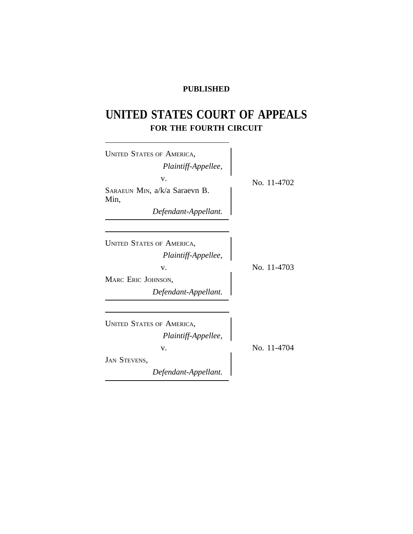## **PUBLISHED**

# **UNITED STATES COURT OF APPEALS FOR THE FOURTH CIRCUIT**

| <b>UNITED STATES OF AMERICA,</b><br>Plaintiff-Appellee,<br>v.<br>SARAEUN MIN, a/k/a Saraevn B.<br>Min,<br>Defendant-Appellant. | No. 11-4702 |
|--------------------------------------------------------------------------------------------------------------------------------|-------------|
| <b>UNITED STATES OF AMERICA,</b><br>Plaintiff-Appellee,<br>V.<br>MARC ERIC JOHNSON,<br>Defendant-Appellant.                    | No. 11-4703 |
| <b>UNITED STATES OF AMERICA,</b><br>Plaintiff-Appellee,<br>v.<br><b>JAN STEVENS,</b><br>Defendant-Appellant.                   | No. 11-4704 |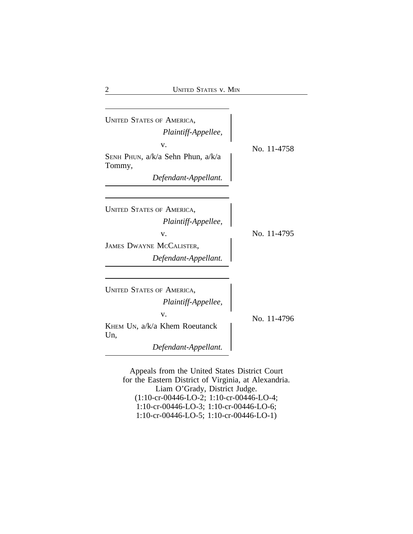| <b>UNITED STATES OF AMERICA,</b><br>Plaintiff-Appellee,<br>V.<br>SENH PHUN, a/k/a Sehn Phun, a/k/a<br>Tommy,<br>Defendant-Appellant. | No. 11-4758 |
|--------------------------------------------------------------------------------------------------------------------------------------|-------------|
| <b>UNITED STATES OF AMERICA,</b><br>Plaintiff-Appellee,<br>V.<br>JAMES DWAYNE MCCALISTER,<br>Defendant-Appellant.                    | No. 11-4795 |
| <b>UNITED STATES OF AMERICA,</b><br>Plaintiff-Appellee,<br>v.<br>KHEM UN, a/k/a Khem Roeutanck<br>Un,<br>Defendant-Appellant.        | No. 11-4796 |

Appeals from the United States District Court for the Eastern District of Virginia, at Alexandria. Liam O'Grady, District Judge. (1:10-cr-00446-LO-2; 1:10-cr-00446-LO-4; 1:10-cr-00446-LO-3; 1:10-cr-00446-LO-6; 1:10-cr-00446-LO-5; 1:10-cr-00446-LO-1)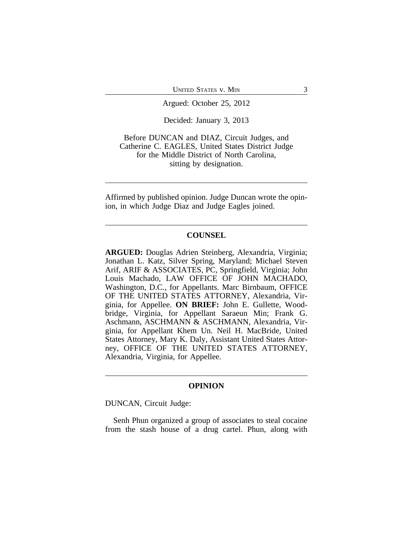UNITED STATES V. MIN 3

Argued: October 25, 2012

Decided: January 3, 2013

Before DUNCAN and DIAZ, Circuit Judges, and Catherine C. EAGLES, United States District Judge for the Middle District of North Carolina, sitting by designation.

Affirmed by published opinion. Judge Duncan wrote the opinion, in which Judge Diaz and Judge Eagles joined.

#### **COUNSEL**

**ARGUED:** Douglas Adrien Steinberg, Alexandria, Virginia; Jonathan L. Katz, Silver Spring, Maryland; Michael Steven Arif, ARIF & ASSOCIATES, PC, Springfield, Virginia; John Louis Machado, LAW OFFICE OF JOHN MACHADO, Washington, D.C., for Appellants. Marc Birnbaum, OFFICE OF THE UNITED STATES ATTORNEY, Alexandria, Virginia, for Appellee. **ON BRIEF:** John E. Gullette, Woodbridge, Virginia, for Appellant Saraeun Min; Frank G. Aschmann, ASCHMANN & ASCHMANN, Alexandria, Virginia, for Appellant Khem Un. Neil H. MacBride, United States Attorney, Mary K. Daly, Assistant United States Attorney, OFFICE OF THE UNITED STATES ATTORNEY, Alexandria, Virginia, for Appellee.

### **OPINION**

DUNCAN, Circuit Judge:

Senh Phun organized a group of associates to steal cocaine from the stash house of a drug cartel. Phun, along with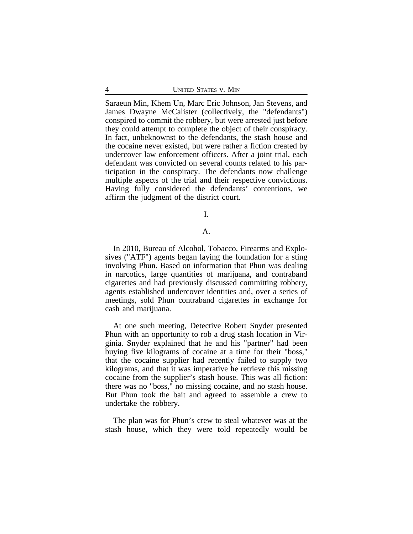Saraeun Min, Khem Un, Marc Eric Johnson, Jan Stevens, and James Dwayne McCalister (collectively, the "defendants") conspired to commit the robbery, but were arrested just before they could attempt to complete the object of their conspiracy. In fact, unbeknownst to the defendants, the stash house and the cocaine never existed, but were rather a fiction created by undercover law enforcement officers. After a joint trial, each defendant was convicted on several counts related to his participation in the conspiracy. The defendants now challenge multiple aspects of the trial and their respective convictions. Having fully considered the defendants' contentions, we affirm the judgment of the district court.

I.

#### A.

In 2010, Bureau of Alcohol, Tobacco, Firearms and Explosives ("ATF") agents began laying the foundation for a sting involving Phun. Based on information that Phun was dealing in narcotics, large quantities of marijuana, and contraband cigarettes and had previously discussed committing robbery, agents established undercover identities and, over a series of meetings, sold Phun contraband cigarettes in exchange for cash and marijuana.

At one such meeting, Detective Robert Snyder presented Phun with an opportunity to rob a drug stash location in Virginia. Snyder explained that he and his "partner" had been buying five kilograms of cocaine at a time for their "boss," that the cocaine supplier had recently failed to supply two kilograms, and that it was imperative he retrieve this missing cocaine from the supplier's stash house. This was all fiction: there was no "boss," no missing cocaine, and no stash house. But Phun took the bait and agreed to assemble a crew to undertake the robbery.

The plan was for Phun's crew to steal whatever was at the stash house, which they were told repeatedly would be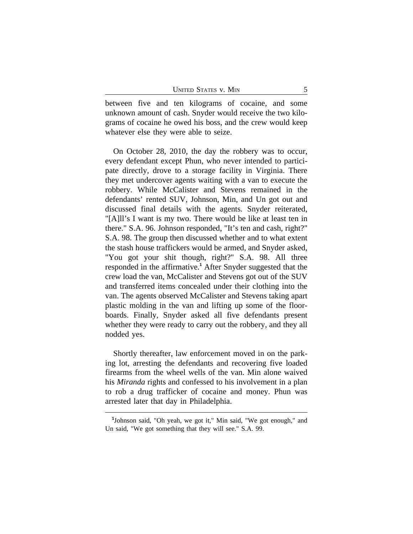| <b>UNITED STATES V. MIN</b> |  |
|-----------------------------|--|
|                             |  |

between five and ten kilograms of cocaine, and some unknown amount of cash. Snyder would receive the two kilograms of cocaine he owed his boss, and the crew would keep whatever else they were able to seize.

On October 28, 2010, the day the robbery was to occur, every defendant except Phun, who never intended to participate directly, drove to a storage facility in Virginia. There they met undercover agents waiting with a van to execute the robbery. While McCalister and Stevens remained in the defendants' rented SUV, Johnson, Min, and Un got out and discussed final details with the agents. Snyder reiterated, "[A]ll's I want is my two. There would be like at least ten in there." S.A. 96. Johnson responded, "It's ten and cash, right?" S.A. 98. The group then discussed whether and to what extent the stash house traffickers would be armed, and Snyder asked, "You got your shit though, right?" S.A. 98. All three responded in the affirmative.**<sup>1</sup>** After Snyder suggested that the crew load the van, McCalister and Stevens got out of the SUV and transferred items concealed under their clothing into the van. The agents observed McCalister and Stevens taking apart plastic molding in the van and lifting up some of the floorboards. Finally, Snyder asked all five defendants present whether they were ready to carry out the robbery, and they all nodded yes.

Shortly thereafter, law enforcement moved in on the parking lot, arresting the defendants and recovering five loaded firearms from the wheel wells of the van. Min alone waived his *Miranda* rights and confessed to his involvement in a plan to rob a drug trafficker of cocaine and money. Phun was arrested later that day in Philadelphia.

**<sup>1</sup>** Johnson said, "Oh yeah, we got it," Min said, "We got enough," and Un said, "We got something that they will see." S.A. 99.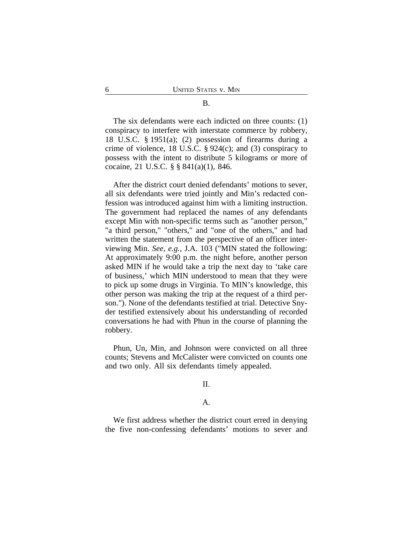The six defendants were each indicted on three counts: (1) conspiracy to interfere with interstate commerce by robbery, 18 U.S.C. § 1951(a); (2) possession of firearms during a crime of violence, 18 U.S.C.  $\S 924(c)$ ; and (3) conspiracy to possess with the intent to distribute 5 kilograms or more of cocaine, 21 U.S.C. § § 841(a)(1), 846.

After the district court denied defendants' motions to sever, all six defendants were tried jointly and Min's redacted confession was introduced against him with a limiting instruction. The government had replaced the names of any defendants except Min with non-specific terms such as "another person," "a third person," "others," and "one of the others," and had written the statement from the perspective of an officer interviewing Min. *See, e.g.*, J.A. 103 ("MIN stated the following: At approximately 9:00 p.m. the night before, another person asked MIN if he would take a trip the next day to 'take care of business,' which MIN understood to mean that they were to pick up some drugs in Virginia. To MIN's knowledge, this other person was making the trip at the request of a third person."). None of the defendants testified at trial. Detective Snyder testified extensively about his understanding of recorded conversations he had with Phun in the course of planning the robbery.

Phun, Un, Min, and Johnson were convicted on all three counts; Stevens and McCalister were convicted on counts one and two only. All six defendants timely appealed.

II.

### A.

We first address whether the district court erred in denying the five non-confessing defendants' motions to sever and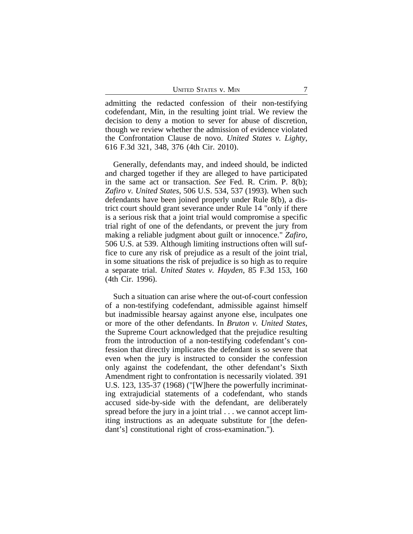admitting the redacted confession of their non-testifying codefendant, Min, in the resulting joint trial. We review the decision to deny a motion to sever for abuse of discretion, though we review whether the admission of evidence violated the Confrontation Clause de novo. *United States v. Lighty*, 616 F.3d 321, 348, 376 (4th Cir. 2010).

Generally, defendants may, and indeed should, be indicted and charged together if they are alleged to have participated in the same act or transaction. *See* Fed. R. Crim. P. 8(b); *Zafiro v. United States*, 506 U.S. 534, 537 (1993). When such defendants have been joined properly under Rule 8(b), a district court should grant severance under Rule 14 "only if there is a serious risk that a joint trial would compromise a specific trial right of one of the defendants, or prevent the jury from making a reliable judgment about guilt or innocence." *Zafiro*, 506 U.S. at 539. Although limiting instructions often will suffice to cure any risk of prejudice as a result of the joint trial, in some situations the risk of prejudice is so high as to require a separate trial. *United States v. Hayden*, 85 F.3d 153, 160 (4th Cir. 1996).

Such a situation can arise where the out-of-court confession of a non-testifying codefendant, admissible against himself but inadmissible hearsay against anyone else, inculpates one or more of the other defendants. In *Bruton v. United States*, the Supreme Court acknowledged that the prejudice resulting from the introduction of a non-testifying codefendant's confession that directly implicates the defendant is so severe that even when the jury is instructed to consider the confession only against the codefendant, the other defendant's Sixth Amendment right to confrontation is necessarily violated. 391 U.S. 123, 135-37 (1968) ("[W]here the powerfully incriminating extrajudicial statements of a codefendant, who stands accused side-by-side with the defendant, are deliberately spread before the jury in a joint trial . . . we cannot accept limiting instructions as an adequate substitute for [the defendant's] constitutional right of cross-examination.").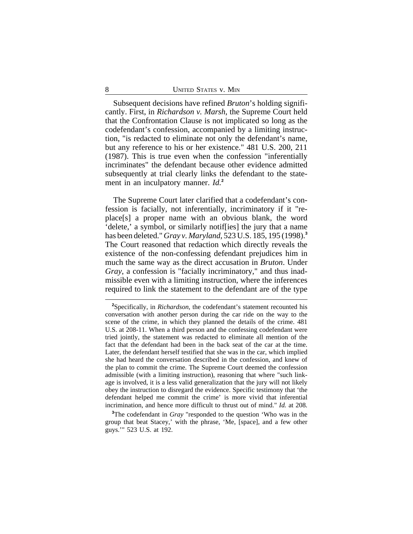Subsequent decisions have refined *Bruton*'s holding significantly. First, in *Richardson v. Marsh*, the Supreme Court held that the Confrontation Clause is not implicated so long as the codefendant's confession, accompanied by a limiting instruction, "is redacted to eliminate not only the defendant's name, but any reference to his or her existence." 481 U.S. 200, 211 (1987). This is true even when the confession "inferentially incriminates" the defendant because other evidence admitted subsequently at trial clearly links the defendant to the statement in an inculpatory manner. *Id.***<sup>2</sup>**

The Supreme Court later clarified that a codefendant's confession is facially, not inferentially, incriminatory if it "replace[s] a proper name with an obvious blank, the word 'delete,' a symbol, or similarly notif[ies] the jury that a name has been deleted." *Gray v. Maryland*, 523 U.S. 185, 195 (1998).**<sup>3</sup>** The Court reasoned that redaction which directly reveals the existence of the non-confessing defendant prejudices him in much the same way as the direct accusation in *Bruton*. Under *Gray*, a confession is "facially incriminatory," and thus inadmissible even with a limiting instruction, where the inferences required to link the statement to the defendant are of the type

**<sup>2</sup>**Specifically, in *Richardson*, the codefendant's statement recounted his conversation with another person during the car ride on the way to the scene of the crime, in which they planned the details of the crime. 481 U.S. at 208-11. When a third person and the confessing codefendant were tried jointly, the statement was redacted to eliminate all mention of the fact that the defendant had been in the back seat of the car at the time. Later, the defendant herself testified that she was in the car, which implied she had heard the conversation described in the confession, and knew of the plan to commit the crime. The Supreme Court deemed the confession admissible (with a limiting instruction), reasoning that where "such linkage is involved, it is a less valid generalization that the jury will not likely obey the instruction to disregard the evidence. Specific testimony that 'the defendant helped me commit the crime' is more vivid that inferential incrimination, and hence more difficult to thrust out of mind." *Id.* at 208.

**<sup>3</sup>**The codefendant in *Gray* "responded to the question 'Who was in the group that beat Stacey,' with the phrase, 'Me, [space], and a few other guys.'" 523 U.S. at 192.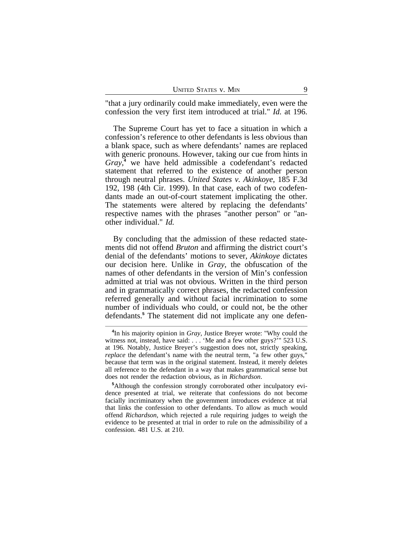| <b>UNITED STATES V. MIN</b> |  |
|-----------------------------|--|
|                             |  |

"that a jury ordinarily could make immediately, even were the confession the very first item introduced at trial." *Id.* at 196.

The Supreme Court has yet to face a situation in which a confession's reference to other defendants is less obvious than a blank space, such as where defendants' names are replaced with generic pronouns. However, taking our cue from hints in *Gray*, **4** we have held admissible a codefendant's redacted statement that referred to the existence of another person through neutral phrases. *United States v. Akinkoye*, 185 F.3d 192, 198 (4th Cir. 1999). In that case, each of two codefendants made an out-of-court statement implicating the other. The statements were altered by replacing the defendants' respective names with the phrases "another person" or "another individual." *Id.*

By concluding that the admission of these redacted statements did not offend *Bruton* and affirming the district court's denial of the defendants' motions to sever, *Akinkoye* dictates our decision here. Unlike in *Gray*, the obfuscation of the names of other defendants in the version of Min's confession admitted at trial was not obvious. Written in the third person and in grammatically correct phrases, the redacted confession referred generally and without facial incrimination to some number of individuals who could, or could not, be the other defendants.**<sup>5</sup>** The statement did not implicate any one defen-

**<sup>4</sup>** In his majority opinion in *Gray*, Justice Breyer wrote: "Why could the witness not, instead, have said: . . . 'Me and a few other guys?'" 523 U.S. at 196. Notably, Justice Breyer's suggestion does not, strictly speaking, *replace* the defendant's name with the neutral term, "a few other guys," because that term was in the original statement. Instead, it merely deletes all reference to the defendant in a way that makes grammatical sense but does not render the redaction obvious, as in *Richardson*.

**<sup>5</sup>**Although the confession strongly corroborated other inculpatory evidence presented at trial, we reiterate that confessions do not become facially incriminatory when the government introduces evidence at trial that links the confession to other defendants. To allow as much would offend *Richardson*, which rejected a rule requiring judges to weigh the evidence to be presented at trial in order to rule on the admissibility of a confession. 481 U.S. at 210.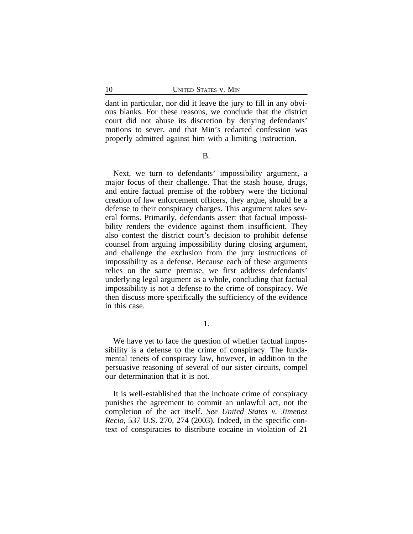dant in particular, nor did it leave the jury to fill in any obvious blanks. For these reasons, we conclude that the district court did not abuse its discretion by denying defendants' motions to sever, and that Min's redacted confession was properly admitted against him with a limiting instruction.

B.

Next, we turn to defendants' impossibility argument, a major focus of their challenge. That the stash house, drugs, and entire factual premise of the robbery were the fictional creation of law enforcement officers, they argue, should be a defense to their conspiracy charges. This argument takes several forms. Primarily, defendants assert that factual impossibility renders the evidence against them insufficient. They also contest the district court's decision to prohibit defense counsel from arguing impossibility during closing argument, and challenge the exclusion from the jury instructions of impossibility as a defense. Because each of these arguments relies on the same premise, we first address defendants' underlying legal argument as a whole, concluding that factual impossibility is not a defense to the crime of conspiracy. We then discuss more specifically the sufficiency of the evidence in this case.

1.

We have yet to face the question of whether factual impossibility is a defense to the crime of conspiracy. The fundamental tenets of conspiracy law, however, in addition to the persuasive reasoning of several of our sister circuits, compel our determination that it is not.

It is well-established that the inchoate crime of conspiracy punishes the agreement to commit an unlawful act, not the completion of the act itself. *See United States v. Jimenez Recio*, 537 U.S. 270, 274 (2003). Indeed, in the specific context of conspiracies to distribute cocaine in violation of 21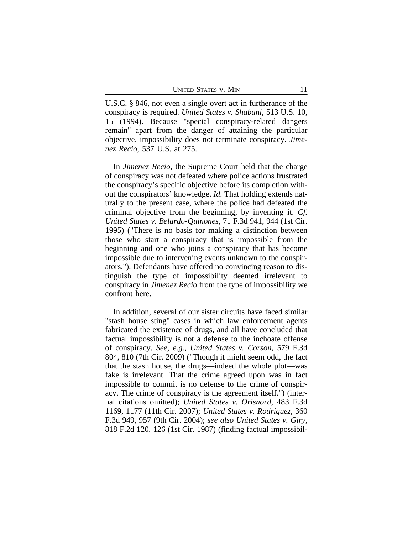UNITED STATES V. MIN 11

U.S.C. § 846, not even a single overt act in furtherance of the conspiracy is required. *United States v. Shabani*, 513 U.S. 10, 15 (1994). Because "special conspiracy-related dangers remain" apart from the danger of attaining the particular objective, impossibility does not terminate conspiracy. *Jimenez Recio*, 537 U.S. at 275.

In *Jimenez Recio*, the Supreme Court held that the charge of conspiracy was not defeated where police actions frustrated the conspiracy's specific objective before its completion without the conspirators' knowledge. *Id.* That holding extends naturally to the present case, where the police had defeated the criminal objective from the beginning, by inventing it. *Cf. United States v. Belardo-Quinones*, 71 F.3d 941, 944 (1st Cir. 1995) ("There is no basis for making a distinction between those who start a conspiracy that is impossible from the beginning and one who joins a conspiracy that has become impossible due to intervening events unknown to the conspirators."). Defendants have offered no convincing reason to distinguish the type of impossibility deemed irrelevant to conspiracy in *Jimenez Recio* from the type of impossibility we confront here.

In addition, several of our sister circuits have faced similar "stash house sting" cases in which law enforcement agents fabricated the existence of drugs, and all have concluded that factual impossibility is not a defense to the inchoate offense of conspiracy. *See, e.g.*, *United States v. Corson*, 579 F.3d 804, 810 (7th Cir. 2009) ("Though it might seem odd, the fact that the stash house, the drugs—indeed the whole plot—was fake is irrelevant. That the crime agreed upon was in fact impossible to commit is no defense to the crime of conspiracy. The crime of conspiracy is the agreement itself.") (internal citations omitted); *United States v. Orisnord*, 483 F.3d 1169, 1177 (11th Cir. 2007); *United States v. Rodriguez*, 360 F.3d 949, 957 (9th Cir. 2004); *see also United States v. Giry*, 818 F.2d 120, 126 (1st Cir. 1987) (finding factual impossibil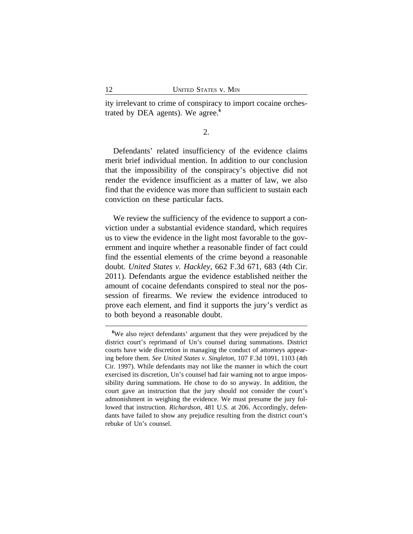ity irrelevant to crime of conspiracy to import cocaine orchestrated by DEA agents). We agree.**<sup>6</sup>**

2.

Defendants' related insufficiency of the evidence claims merit brief individual mention. In addition to our conclusion that the impossibility of the conspiracy's objective did not render the evidence insufficient as a matter of law, we also find that the evidence was more than sufficient to sustain each conviction on these particular facts.

We review the sufficiency of the evidence to support a conviction under a substantial evidence standard, which requires us to view the evidence in the light most favorable to the government and inquire whether a reasonable finder of fact could find the essential elements of the crime beyond a reasonable doubt. *United States v. Hackley*, 662 F.3d 671, 683 (4th Cir. 2011). Defendants argue the evidence established neither the amount of cocaine defendants conspired to steal nor the possession of firearms. We review the evidence introduced to prove each element, and find it supports the jury's verdict as to both beyond a reasonable doubt.

**<sup>6</sup>**We also reject defendants' argument that they were prejudiced by the district court's reprimand of Un's counsel during summations. District courts have wide discretion in managing the conduct of attorneys appearing before them. *See United States v. Singleton*, 107 F.3d 1091, 1103 (4th Cir. 1997). While defendants may not like the manner in which the court exercised its discretion, Un's counsel had fair warning not to argue impossibility during summations. He chose to do so anyway. In addition, the court gave an instruction that the jury should not consider the court's admonishment in weighing the evidence. We must presume the jury followed that instruction. *Richardson*, 481 U.S. at 206. Accordingly, defendants have failed to show any prejudice resulting from the district court's rebuke of Un's counsel.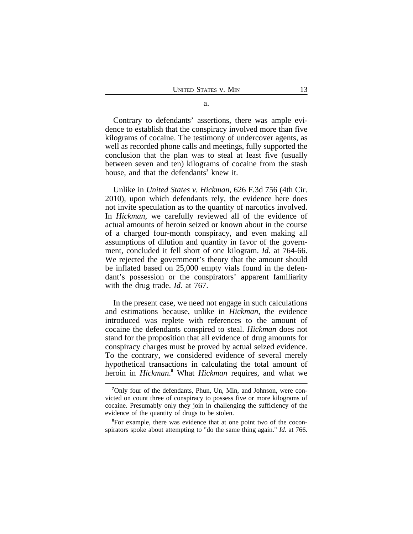Contrary to defendants' assertions, there was ample evidence to establish that the conspiracy involved more than five kilograms of cocaine. The testimony of undercover agents, as well as recorded phone calls and meetings, fully supported the conclusion that the plan was to steal at least five (usually between seven and ten) kilograms of cocaine from the stash house, and that the defendants<sup>7</sup> knew it.

Unlike in *United States v. Hickman*, 626 F.3d 756 (4th Cir. 2010), upon which defendants rely, the evidence here does not invite speculation as to the quantity of narcotics involved. In *Hickman*, we carefully reviewed all of the evidence of actual amounts of heroin seized or known about in the course of a charged four-month conspiracy, and even making all assumptions of dilution and quantity in favor of the government, concluded it fell short of one kilogram. *Id.* at 764-66. We rejected the government's theory that the amount should be inflated based on 25,000 empty vials found in the defendant's possession or the conspirators' apparent familiarity with the drug trade. *Id.* at 767.

In the present case, we need not engage in such calculations and estimations because, unlike in *Hickman*, the evidence introduced was replete with references to the amount of cocaine the defendants conspired to steal. *Hickman* does not stand for the proposition that all evidence of drug amounts for conspiracy charges must be proved by actual seized evidence. To the contrary, we considered evidence of several merely hypothetical transactions in calculating the total amount of heroin in *Hickman*. **8** What *Hickman* requires, and what we

<sup>8</sup>For example, there was evidence that at one point two of the coconspirators spoke about attempting to "do the same thing again." *Id.* at 766.

**<sup>7</sup>**Only four of the defendants, Phun, Un, Min, and Johnson, were convicted on count three of conspiracy to possess five or more kilograms of cocaine. Presumably only they join in challenging the sufficiency of the evidence of the quantity of drugs to be stolen.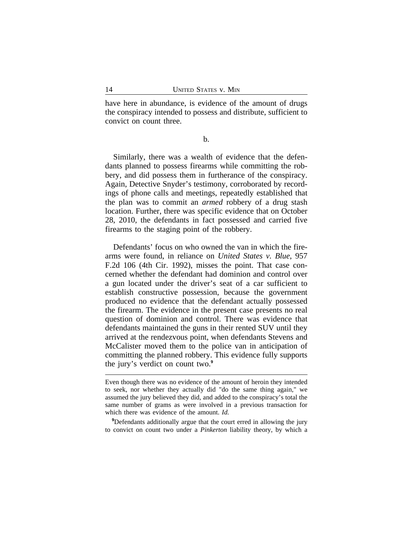have here in abundance, is evidence of the amount of drugs the conspiracy intended to possess and distribute, sufficient to convict on count three.

b.

Similarly, there was a wealth of evidence that the defendants planned to possess firearms while committing the robbery, and did possess them in furtherance of the conspiracy. Again, Detective Snyder's testimony, corroborated by recordings of phone calls and meetings, repeatedly established that the plan was to commit an *armed* robbery of a drug stash location. Further, there was specific evidence that on October 28, 2010, the defendants in fact possessed and carried five firearms to the staging point of the robbery.

Defendants' focus on who owned the van in which the firearms were found, in reliance on *United States v. Blue*, 957 F.2d 106 (4th Cir. 1992), misses the point. That case concerned whether the defendant had dominion and control over a gun located under the driver's seat of a car sufficient to establish constructive possession, because the government produced no evidence that the defendant actually possessed the firearm. The evidence in the present case presents no real question of dominion and control. There was evidence that defendants maintained the guns in their rented SUV until they arrived at the rendezvous point, when defendants Stevens and McCalister moved them to the police van in anticipation of committing the planned robbery. This evidence fully supports the jury's verdict on count two.**<sup>9</sup>**

<sup>9</sup>Defendants additionally argue that the court erred in allowing the jury to convict on count two under a *Pinkerton* liability theory, by which a

Even though there was no evidence of the amount of heroin they intended to seek, nor whether they actually did "do the same thing again," we assumed the jury believed they did, and added to the conspiracy's total the same number of grams as were involved in a previous transaction for which there was evidence of the amount. *Id.*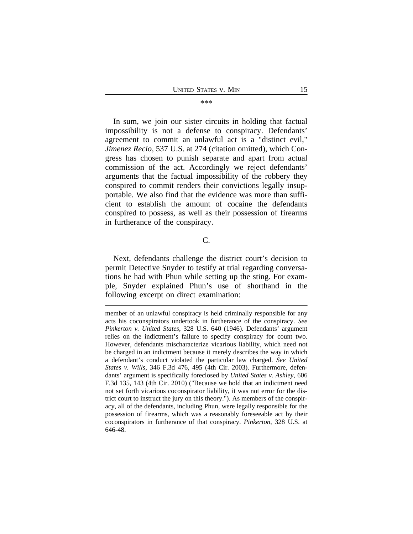#### \*\*\*

In sum, we join our sister circuits in holding that factual impossibility is not a defense to conspiracy. Defendants' agreement to commit an unlawful act is a "distinct evil," *Jimenez Recio*, 537 U.S. at 274 (citation omitted), which Congress has chosen to punish separate and apart from actual commission of the act. Accordingly we reject defendants' arguments that the factual impossibility of the robbery they conspired to commit renders their convictions legally insupportable. We also find that the evidence was more than sufficient to establish the amount of cocaine the defendants conspired to possess, as well as their possession of firearms in furtherance of the conspiracy.

#### C.

Next, defendants challenge the district court's decision to permit Detective Snyder to testify at trial regarding conversations he had with Phun while setting up the sting. For example, Snyder explained Phun's use of shorthand in the following excerpt on direct examination:

member of an unlawful conspiracy is held criminally responsible for any acts his coconspirators undertook in furtherance of the conspiracy. *See Pinkerton v. United States*, 328 U.S. 640 (1946). Defendants' argument relies on the indictment's failure to specify conspiracy for count two. However, defendants mischaracterize vicarious liability, which need not be charged in an indictment because it merely describes the way in which a defendant's conduct violated the particular law charged. *See United States v. Wills*, 346 F.3d 476, 495 (4th Cir. 2003). Furthermore, defendants' argument is specifically foreclosed by *United States v. Ashley*, 606 F.3d 135, 143 (4th Cir. 2010) ("Because we hold that an indictment need not set forth vicarious coconspirator liability, it was not error for the district court to instruct the jury on this theory."). As members of the conspiracy, all of the defendants, including Phun, were legally responsible for the possession of firearms, which was a reasonably foreseeable act by their coconspirators in furtherance of that conspiracy. *Pinkerton*, 328 U.S. at 646-48.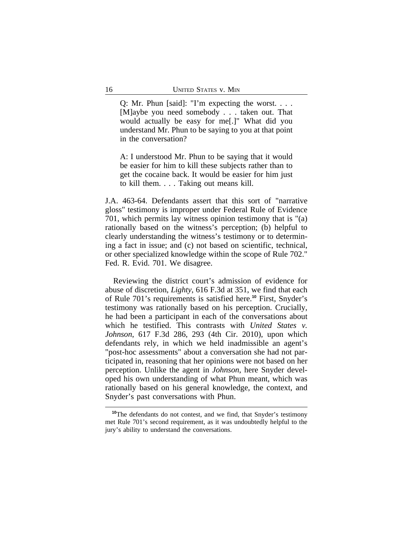Q: Mr. Phun [said]: "I'm expecting the worst. . . . [M]aybe you need somebody . . . taken out. That would actually be easy for me[.]" What did you understand Mr. Phun to be saying to you at that point in the conversation?

A: I understood Mr. Phun to be saying that it would be easier for him to kill these subjects rather than to get the cocaine back. It would be easier for him just to kill them. . . . Taking out means kill.

J.A. 463-64. Defendants assert that this sort of "narrative gloss" testimony is improper under Federal Rule of Evidence 701, which permits lay witness opinion testimony that is "(a) rationally based on the witness's perception; (b) helpful to clearly understanding the witness's testimony or to determining a fact in issue; and (c) not based on scientific, technical, or other specialized knowledge within the scope of Rule 702." Fed. R. Evid. 701. We disagree.

Reviewing the district court's admission of evidence for abuse of discretion, *Lighty*, 616 F.3d at 351, we find that each of Rule 701's requirements is satisfied here.**<sup>10</sup>** First, Snyder's testimony was rationally based on his perception. Crucially, he had been a participant in each of the conversations about which he testified. This contrasts with *United States v. Johnson*, 617 F.3d 286, 293 (4th Cir. 2010), upon which defendants rely, in which we held inadmissible an agent's "post-hoc assessments" about a conversation she had not participated in, reasoning that her opinions were not based on her perception. Unlike the agent in *Johnson*, here Snyder developed his own understanding of what Phun meant, which was rationally based on his general knowledge, the context, and Snyder's past conversations with Phun.

<sup>&</sup>lt;sup>10</sup>The defendants do not contest, and we find, that Snyder's testimony met Rule 701's second requirement, as it was undoubtedly helpful to the jury's ability to understand the conversations.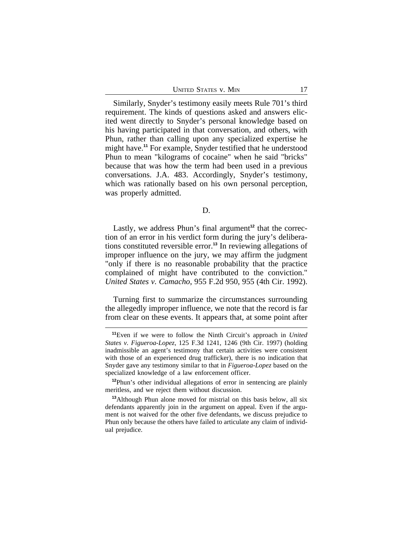Similarly, Snyder's testimony easily meets Rule 701's third requirement. The kinds of questions asked and answers elicited went directly to Snyder's personal knowledge based on his having participated in that conversation, and others, with Phun, rather than calling upon any specialized expertise he might have.**<sup>11</sup>** For example, Snyder testified that he understood Phun to mean "kilograms of cocaine" when he said "bricks" because that was how the term had been used in a previous conversations. J.A. 483. Accordingly, Snyder's testimony, which was rationally based on his own personal perception, was properly admitted.

D.

Lastly, we address Phun's final argument<sup>12</sup> that the correction of an error in his verdict form during the jury's deliberations constituted reversible error.**<sup>13</sup>** In reviewing allegations of improper influence on the jury, we may affirm the judgment "only if there is no reasonable probability that the practice complained of might have contributed to the conviction." *United States v. Camacho*, 955 F.2d 950, 955 (4th Cir. 1992).

Turning first to summarize the circumstances surrounding the allegedly improper influence, we note that the record is far from clear on these events. It appears that, at some point after

**<sup>11</sup>**Even if we were to follow the Ninth Circuit's approach in *United States v. Figueroa-Lopez*, 125 F.3d 1241, 1246 (9th Cir. 1997) (holding inadmissible an agent's testimony that certain activities were consistent with those of an experienced drug trafficker), there is no indication that Snyder gave any testimony similar to that in *Figueroa-Lopez* based on the specialized knowledge of a law enforcement officer.

**<sup>12</sup>**Phun's other individual allegations of error in sentencing are plainly meritless, and we reject them without discussion.

**<sup>13</sup>**Although Phun alone moved for mistrial on this basis below, all six defendants apparently join in the argument on appeal. Even if the argument is not waived for the other five defendants, we discuss prejudice to Phun only because the others have failed to articulate any claim of individual prejudice.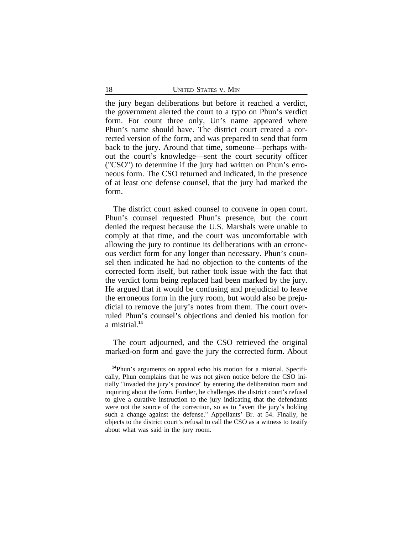the jury began deliberations but before it reached a verdict, the government alerted the court to a typo on Phun's verdict form. For count three only, Un's name appeared where Phun's name should have. The district court created a corrected version of the form, and was prepared to send that form back to the jury. Around that time, someone—perhaps without the court's knowledge—sent the court security officer ("CSO") to determine if the jury had written on Phun's erroneous form. The CSO returned and indicated, in the presence of at least one defense counsel, that the jury had marked the form.

The district court asked counsel to convene in open court. Phun's counsel requested Phun's presence, but the court denied the request because the U.S. Marshals were unable to comply at that time, and the court was uncomfortable with allowing the jury to continue its deliberations with an erroneous verdict form for any longer than necessary. Phun's counsel then indicated he had no objection to the contents of the corrected form itself, but rather took issue with the fact that the verdict form being replaced had been marked by the jury. He argued that it would be confusing and prejudicial to leave the erroneous form in the jury room, but would also be prejudicial to remove the jury's notes from them. The court overruled Phun's counsel's objections and denied his motion for a mistrial.**<sup>14</sup>**

The court adjourned, and the CSO retrieved the original marked-on form and gave the jury the corrected form. About

**<sup>14</sup>**Phun's arguments on appeal echo his motion for a mistrial. Specifically, Phun complains that he was not given notice before the CSO initially "invaded the jury's province" by entering the deliberation room and inquiring about the form. Further, he challenges the district court's refusal to give a curative instruction to the jury indicating that the defendants were not the source of the correction, so as to "avert the jury's holding such a change against the defense." Appellants' Br. at 54. Finally, he objects to the district court's refusal to call the CSO as a witness to testify about what was said in the jury room.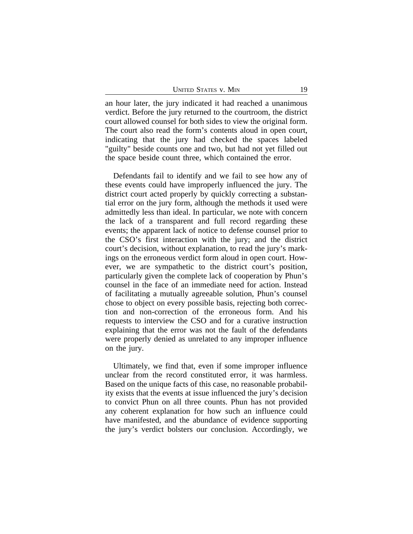UNITED STATES V. MIN 19

an hour later, the jury indicated it had reached a unanimous verdict. Before the jury returned to the courtroom, the district court allowed counsel for both sides to view the original form. The court also read the form's contents aloud in open court, indicating that the jury had checked the spaces labeled "guilty" beside counts one and two, but had not yet filled out the space beside count three, which contained the error.

Defendants fail to identify and we fail to see how any of these events could have improperly influenced the jury. The district court acted properly by quickly correcting a substantial error on the jury form, although the methods it used were admittedly less than ideal. In particular, we note with concern the lack of a transparent and full record regarding these events; the apparent lack of notice to defense counsel prior to the CSO's first interaction with the jury; and the district court's decision, without explanation, to read the jury's markings on the erroneous verdict form aloud in open court. However, we are sympathetic to the district court's position, particularly given the complete lack of cooperation by Phun's counsel in the face of an immediate need for action. Instead of facilitating a mutually agreeable solution, Phun's counsel chose to object on every possible basis, rejecting both correction and non-correction of the erroneous form. And his requests to interview the CSO and for a curative instruction explaining that the error was not the fault of the defendants were properly denied as unrelated to any improper influence on the jury.

Ultimately, we find that, even if some improper influence unclear from the record constituted error, it was harmless. Based on the unique facts of this case, no reasonable probability exists that the events at issue influenced the jury's decision to convict Phun on all three counts. Phun has not provided any coherent explanation for how such an influence could have manifested, and the abundance of evidence supporting the jury's verdict bolsters our conclusion. Accordingly, we